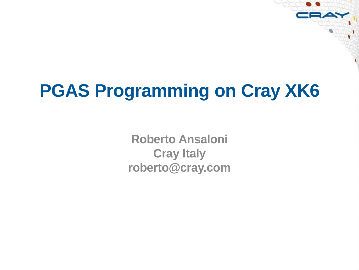# **PGAS Programming on Cray XK6**

**Roberto Ansaloni Cray Italy roberto@cray.com**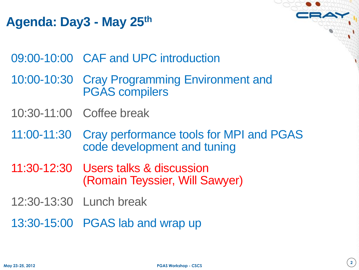# **Agenda: Day3 - May 25th**

09:00-10:00 CAF and UPC introduction

- 10:00-10:30 Cray Programming Environment and PGAS compilers
- 10:30-11:00 Coffee break
- 11:00-11:30 Cray performance tools for MPI and PGAS code development and tuning
- 11:30-12:30 Users talks & discussion (Romain Teyssier, Will Sawyer)
- 12:30-13:30 Lunch break
- 13:30-15:00 PGAS lab and wrap up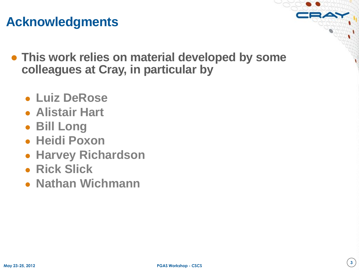## **Acknowledgments**

- **This work relies on material developed by some colleagues at Cray, in particular by**
	- **Luiz DeRose**
	- **Alistair Hart**
	- **Bill Long**
	- **Heidi Poxon**
	- **Harvey Richardson**
	- **Rick Slick**
	- **Nathan Wichmann**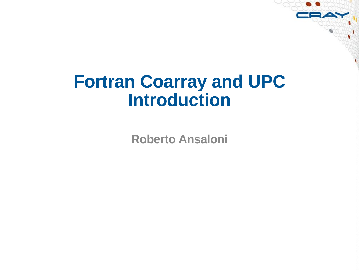# **Fortran Coarray and UPC Introduction**

**Roberto Ansaloni**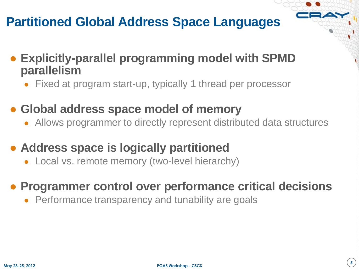# **Partitioned Global Address Space Languages**

- **Explicitly-parallel programming model with SPMD parallelism**
	- Fixed at program start-up, typically 1 thread per processor
- **Global address space model of memory**
	- Allows programmer to directly represent distributed data structures
- **Address space is logically partitioned**
	- Local vs. remote memory (two-level hierarchy)

#### ● **Programmer control over performance critical decisions**

• Performance transparency and tunability are goals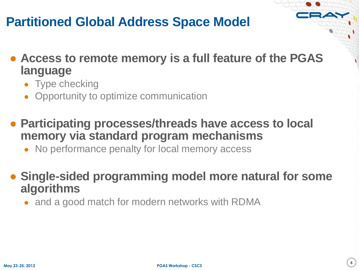# **Partitioned Global Address Space Model**

- **Access to remote memory is a full feature of the PGAS language**
	- Type checking
	- Opportunity to optimize communication
- **Participating processes/threads have access to local memory via standard program mechanisms**
	- No performance penalty for local memory access
- **Single-sided programming model more natural for some algorithms**
	- and a good match for modern networks with RDMA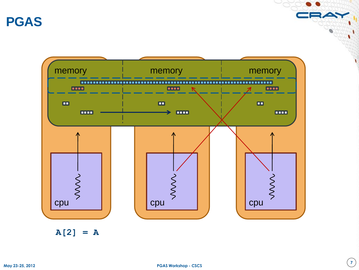**PGAS**



**A[2] = A**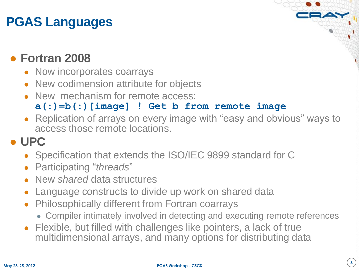# **PGAS Languages**

#### ● **Fortran 2008**

- Now incorporates coarrays
- New codimension attribute for objects
- New mechanism for remote access:

#### **a(:)=b(:)[image] ! Get b from remote image**

Replication of arrays on every image with "easy and obvious" ways to access those remote locations.

## ● **UPC**

- Specification that extends the ISO/IEC 9899 standard for C
- Participating "*threads*"
- New *shared* data structures
- Language constructs to divide up work on shared data
- **Philosophically different from Fortran coarrays** 
	- Compiler intimately involved in detecting and executing remote references
- Flexible, but filled with challenges like pointers, a lack of true multidimensional arrays, and many options for distributing data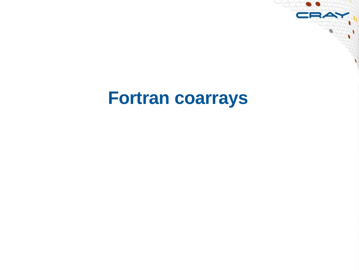# **Fortran coarrays**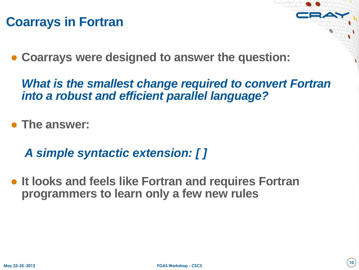### **Coarrays in Fortran**

● **Coarrays were designed to answer the question:**

*What is the smallest change required to convert Fortran into a robust and efficient parallel language?*

● **The answer:** 

*A simple syntactic extension: [ ]*

● **It looks and feels like Fortran and requires Fortran programmers to learn only a few new rules**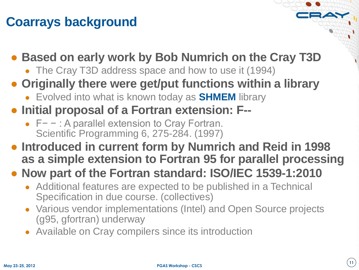# **Coarrays background**

### ● **Based on early work by Bob Numrich on the Cray T3D**

- The Cray T3D address space and how to use it (1994)
- **Originally there were get/put functions within a library**
	- Evolved into what is known today as **SHMEM** library
- **Initial proposal of a Fortran extension: F--**
	- F− − : A parallel extension to Cray Fortran. Scientific Programming 6, 275-284. (1997)
- **Introduced in current form by Numrich and Reid in 1998 as a simple extension to Fortran 95 for parallel processing**

#### ● **Now part of the Fortran standard: ISO/IEC 1539-1:2010**

- Additional features are expected to be published in a Technical Specification in due course. (collectives)
- Various vendor implementations (Intel) and Open Source projects (g95, gfortran) underway
- Available on Cray compilers since its introduction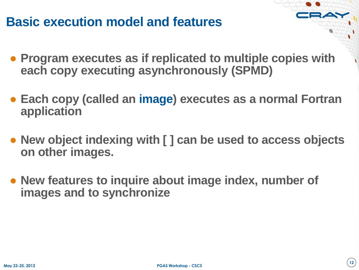## **Basic execution model and features**

- **Program executes as if replicated to multiple copies with each copy executing asynchronously (SPMD)**
- **Each copy (called an image) executes as a normal Fortran application**
- **New object indexing with [ ] can be used to access objects on other images.**
- **New features to inquire about image index, number of images and to synchronize**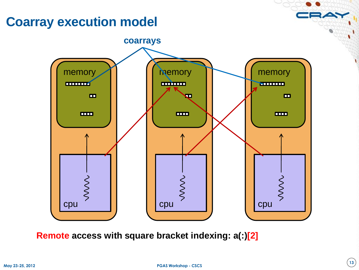## **Coarray execution model**



**Remote access with square bracket indexing: a(:)[2]**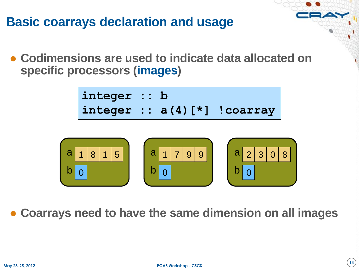## **Basic coarrays declaration and usage**

● **Codimensions are used to indicate data allocated on specific processors (images)**

```
integer :: b
integer :: a(4)[*] !coarray
```


● **Coarrays need to have the same dimension on all images**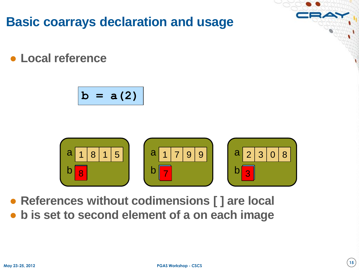**Basic coarrays declaration and usage**

● **Local reference**

$$
b = a(2)
$$



● **References without codimensions [ ] are local**

● **b is set to second element of a on each image**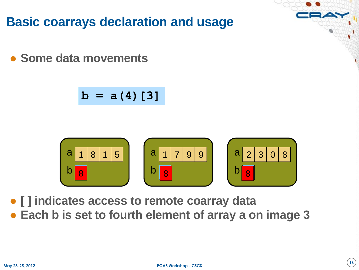**Basic coarrays declaration and usage**

● **Some data movements**

$$
b = a(4) [3]
$$



● **[ ] indicates access to remote coarray data** ● **Each b is set to fourth element of array a on image 3**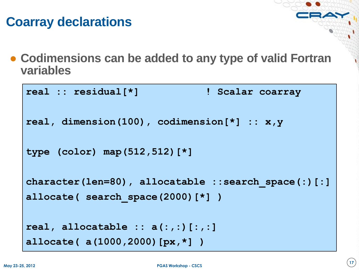# **Coarray declarations**

● **Codimensions can be added to any type of valid Fortran variables**

```
real :: residual[*] ! Scalar coarray
real, dimension(100), codimension[*] :: x,y
type (color) map(512,512)[*]
character(len=80), allocatable ::search_space(:)[:]
allocate( search_space(2000)[*] )
real, allocatable :: a(:,:)[:,:]
allocate( a(1000,2000)[px,*] )
```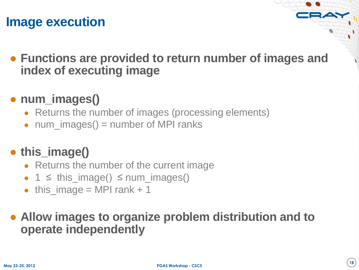## **Image execution**

● **Functions are provided to return number of images and index of executing image**

#### ● **num\_images()**

- Returns the number of images (processing elements)
- $\bullet$  num\_images() = number of MPI ranks

# ● **this\_image()**

- Returns the number of the current image
- $\bullet$  1  $\le$  this\_image()  $\le$  num\_images()
- this\_image = MPI rank  $+ 1$

#### ● **Allow images to organize problem distribution and to operate independently**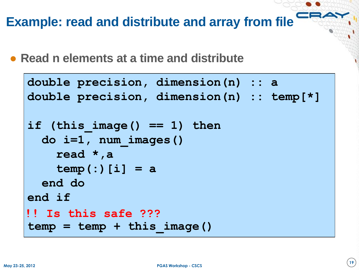**Example: read and distribute and array from file**

● **Read n elements at a time and distribute**

```
double precision, dimension(n) :: a
double precision, dimension(n) :: temp[*]
if (this_image() == 1) then
   do i=1, num_images()
     read *,a
     temp(:)[i] = a
   end do
end if
temp = temp + this_image()
!! Is this safe ???
```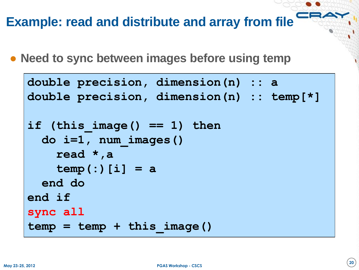### **Example: read and distribute and array from file**

• Need to sync between images before using temp

```
double precision, dimension(n) :: a
double precision, dimension(n) :: temp[*]
if (this_image() == 1) then
   do i=1, num_images()
     read *,a
     temp(:)[i] = a
   end do
end if
sync all
temp = temp + this_image()
```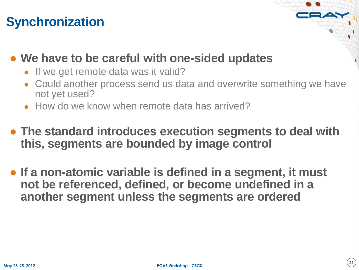# **Synchronization**

#### ● **We have to be careful with one-sided updates**

- If we get remote data was it valid?
- Could another process send us data and overwrite something we have not yet used?
- How do we know when remote data has arrived?
- **The standard introduces execution segments to deal with this, segments are bounded by image control**
- **If a non-atomic variable is defined in a segment, it must not be referenced, defined, or become undefined in a another segment unless the segments are ordered**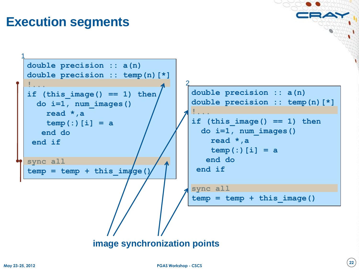# **Execution segments**

```
double precision :: a(n)
 double precision :: temp(n)[*]
 !...
 if (this image() == 1) then
    do i=1, num_images()
      read *,a
      temp(:)[i] = a
     end do
  end if
 sync all
 temp = temp + this img(qe()1
                                     2
```

```
double precision :: a(n)
double precision :: temp(n)[*]
!...
if (this image() == 1) then
   do i=1, num_images()
     read *,a
     temp(:)[i] = a
    end do
 end if
```

```
sync all
temp = temp + this_image()
```
**image synchronization points**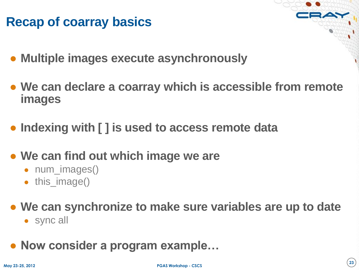# **Recap of coarray basics**

- **Multiple images execute asynchronously**
- **We can declare a coarray which is accessible from remote images**
- **Indexing with [ ] is used to access remote data**
- **We can find out which image we are**
	- num\_images()
	- this\_image()
- **We can synchronize to make sure variables are up to date**
	- sync all
- **Now consider a program example…**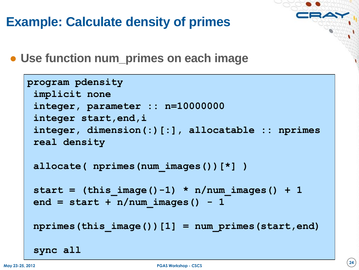# **Example: Calculate density of primes**

● **Use function num\_primes on each image**

```
program pdensity
 implicit none
 integer, parameter :: n=10000000
 integer start,end,i
 integer, dimension(:)[:], allocatable :: nprimes
 real density
 allocate( nprimes(num_images())[*] )
 start = (this image() -1) * n/num images() + 1end = start + n/num images() - 1nprimes(this_image())[1] = num_primes(start,end)
 sync all
```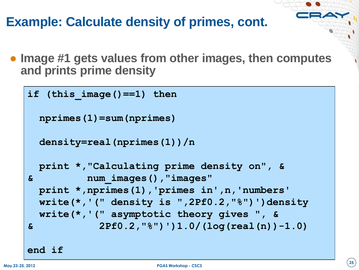# **Example: Calculate density of primes, cont.**

● **Image #1 gets values from other images, then computes and prints prime density**

```
if (this_image()==1) then
  nprimes(1)=sum(nprimes)
  density=real(nprimes(1))/n
  print *,"Calculating prime density on", &
& num_images(),"images"
  print *,nprimes(1),'primes in',n,'numbers'
  write(*,'(" density is ",2Pf0.2,"%")')density
  write(*,'(" asymptotic theory gives ", &
& 2Pf0.2,"%")')1.0/(log(real(n))-1.0)
```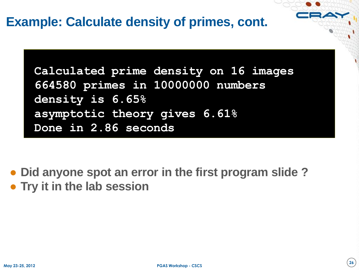### **Example: Calculate density of primes, cont.**

**Calculated prime density on 16 images 664580 primes in 10000000 numbers density is 6.65% asymptotic theory gives 6.61% Done in 2.86 seconds**

● **Did anyone spot an error in the first program slide ?** ● **Try it in the lab session**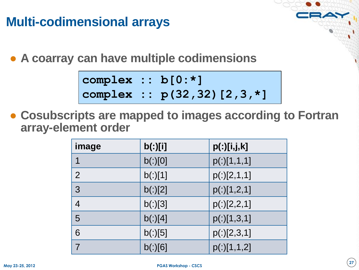# **Multi-codimensional arrays**

● **A coarray can have multiple codimensions**

**complex :: b[0:\*] complex :: p(32,32)[2,3,\*]** 

● **Cosubscripts are mapped to images according to Fortran array-element order**

| image          | b(:)[i] | p(:)[i,j,k] |
|----------------|---------|-------------|
|                | b(:)[0] | p(:)[1,1,1] |
| $\overline{2}$ | b(:)[1] | p(:)[2,1,1] |
| 3              | b(:)[2] | p(:)[1,2,1] |
| $\overline{4}$ | b(:)[3] | p(:)[2,2,1] |
| 5              | b(:)[4] | p(.)[1,3,1] |
| 6              | b(:)[5] | p(:)[2,3,1] |
|                | b(:)[6] | p(:)[1,1,2] |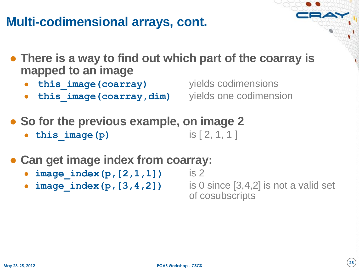## **Multi-codimensional arrays, cont.**

- **There is a way to find out which part of the coarray is mapped to an image**
	- **this image (coarray)** yields codimensions
	- **this image(coarray,dim)** yields one codimension

- **So for the previous example, on image 2**
	- **this image(p)** is  $[ 2, 1, 1 ]$
- **Can get image index from coarray:**
	- **image index (p, [2, 1, 1])** is 2
	-

**image index (p, [3, 4, 2])** is 0 since  $[3,4,2]$  is not a valid set of cosubscripts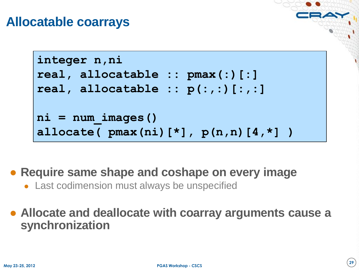#### **Allocatable coarrays**

```
integer n,ni
real, allocatable :: pmax(:)[:]
real, allocatable :: p(:,:)[:,:]
ni = num_images()
allocate( pmax(ni)[*], p(n,n)[4,*] )
```
● **Require same shape and coshape on every image**

• Last codimension must always be unspecified

● **Allocate and deallocate with coarray arguments cause a synchronization**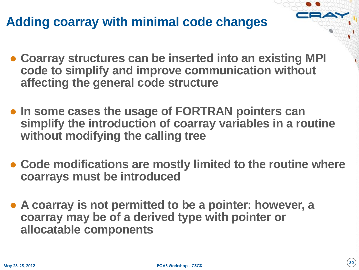# **Adding coarray with minimal code changes**

- **Coarray structures can be inserted into an existing MPI code to simplify and improve communication without affecting the general code structure**
- **In some cases the usage of FORTRAN pointers can simplify the introduction of coarray variables in a routine without modifying the calling tree**
- **Code modifications are mostly limited to the routine where coarrays must be introduced**
- **A coarray is not permitted to be a pointer: however, a coarray may be of a derived type with pointer or allocatable components**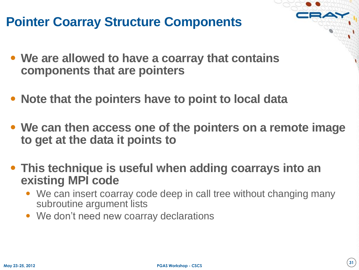# **Pointer Coarray Structure Components**

- **We are allowed to have a coarray that contains components that are pointers**
- **Note that the pointers have to point to local data**
- **We can then access one of the pointers on a remote image to get at the data it points to**
- **This technique is useful when adding coarrays into an existing MPI code**
	- We can insert coarray code deep in call tree without changing many subroutine argument lists
	- We don't need new coarray declarations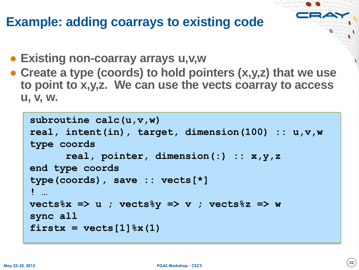### **Example: adding coarrays to existing code**

- **Existing non-coarray arrays u,v,w**
- **Create a type (coords) to hold pointers (x,y,z) that we use to point to x,y,z. We can use the vects coarray to access u, v, w.**

```
subroutine calc(u,v,w)
real, intent(in), target, dimension(100) :: u,v,w
type coords
      real, pointer, dimension(:) :: x,y,z
end type coords
type(coords), save :: vects[*]
! …
vects%x => u ; vects%y => v ; vects%z => w
sync all
firstx = vectors[1] x(1)
```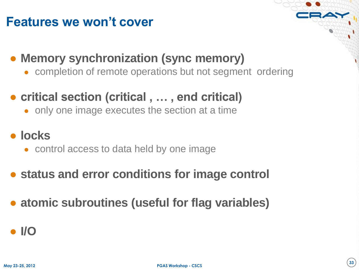## **Features we won't cover**

### ● **Memory synchronization (sync memory)**

• completion of remote operations but not segment ordering

# ● **critical section (critical , … , end critical)**

• only one image executes the section at a time

#### ● **locks**

- control access to data held by one image
- **status and error conditions for image control**
- **atomic subroutines (useful for flag variables)**

#### ● **I/O**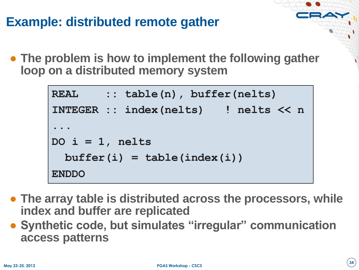# **Example: distributed remote gather**

● **The problem is how to implement the following gather loop on a distributed memory system**

```
REAL :: table(n), buffer(nelts)<br>
INTEGER :: index(nelts) ! nelts<br>
...<br>
DO i = 1, nelts<br>
buffer(i) = table(index(i))<br>
ENDDO<br>
The array table is distributed across the proces<br>
index and buffer are replicated<br>
Synthetic code,
            INTEGER :: index(nelts) ! nelts << n
             ... 
           DO i = 1, nelts
                 buffer(i) = table(index(i))
            ENDDO
```
- **The array table is distributed across the processors, while index and buffer are replicated**
- **Synthetic code, but simulates "irregular" communication**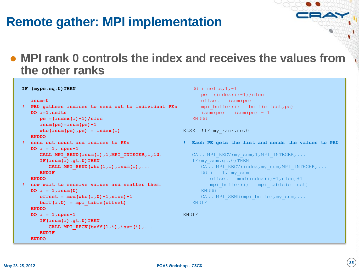# **Remote gather: MPI implementation**

#### ● **MPI rank 0 controls the index and receives the values from the other ranks**

```
 isum=0
! PE0 gathers indices to send out to individual PEs
    DO i=1,nelts
       pe =(index(i)-1)/nloc
       isum(pe)=isum(pe)+1
      who(isum(pe),pe) = index(i) ENDDO
! send out count and indices to PEs
    DO i = 1, npes-1
       CALL MPI_SEND(isum(i),1,MPI_INTEGER,i,10.
       IF(isum(i).gt.0)THEN
         CALL MPI SEND(who(1,i), isum(i), ...
       ENDIF
    ENDDO
! now wait to receive values and scatter them.
    DO i = 1,isum(0)
      offset = mod(who(i, 0) - 1, nloc) + 1 buff(i,0) = mpi_table(offset)
    ENDDO
    DO i = 1,npes-1
       IF(isum(i).gt.0)THEN
         CALL MPI RECV(buff(1,i),isum(i),...
       ENDIF
    ENDDO
```
**IF (mype.eq.0)THEN**

```
DO i=nelts, 1, -1pe = (index(i) - 1) / nlocoffset = isum(pe)mpi buffer(i) = buff(offset, pe)
   isum(pe) = isum(pe) - 1 ENDDO
```

```
ELSE ! IF my rank.ne.0
```
**! Each PE gets the list and sends the values to PE0**

```
CALL MPI RECV(my_sum, 1, MPI_INTEGER, ...
IF(my sum.gt.0)THEN
   CALL MPI RECV(index, my_sum, MPI_INTEGER, ...
   DO i = 1, my sum
      offset = mod(index(i)-1,nloc)+1mpi buffer(i) = mpi table(offset)
    ENDDO
   CALL MPI SEND(mpi buffer, my sum,...
 ENDIF
```
ENDIF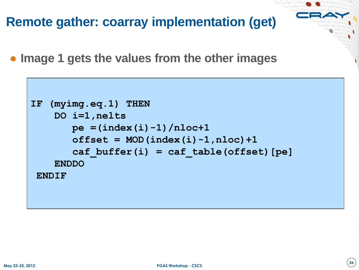**Remote gather: coarray implementation (get)**

● **Image 1 gets the values from the other images**

```
IF (myimg.eq.1) THEN
     DO i=1,nelts
        pe =(index(i)-1)/nloc+1
       offset = MOD(index(i)-1,nloc)+1 caf_buffer(i) = caf_table(offset)[pe]
     ENDDO
 ENDIF
```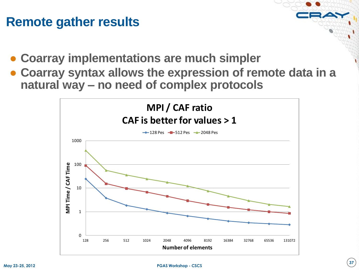#### **Remote gather results**

- **Coarray implementations are much simpler**
- **Coarray syntax allows the expression of remote data in a natural way – no need of complex protocols**

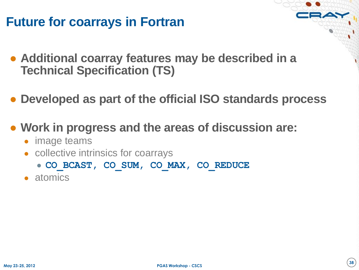# **Future for coarrays in Fortran**

- **Additional coarray features may be described in a Technical Specification (TS)**
- **Developed as part of the official ISO standards process**
- **Work in progress and the areas of discussion are:**
	- image teams
	- collective intrinsics for coarrays
		- **CO\_BCAST, CO\_SUM, CO\_MAX, CO\_REDUCE**
	- atomics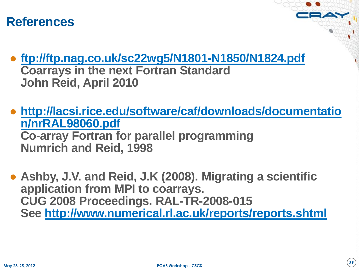### **References**

- **<ftp://ftp.nag.co.uk/sc22wg5/N1801-N1850/N1824.pdf> Coarrays in the next Fortran Standard John Reid, April 2010**
- **[http://lacsi.rice.edu/software/caf/downloads/documentatio](http://lacsi.rice.edu/software/caf/downloads/documentation/nrRAL98060.pdf) [n/nrRAL98060.pdf](http://lacsi.rice.edu/software/caf/downloads/documentation/nrRAL98060.pdf) Co-array Fortran for parallel programming Numrich and Reid, 1998**
- **Ashby, J.V. and Reid, J.K (2008). Migrating a scientific application from MPI to coarrays. CUG 2008 Proceedings. RAL-TR-2008-015 See <http://www.numerical.rl.ac.uk/reports/reports.shtml>**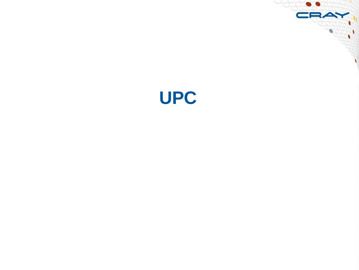

CRAY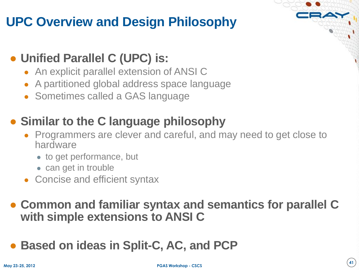# **UPC Overview and Design Philosophy**

### ● **Unified Parallel C (UPC) is:**

- An explicit parallel extension of ANSI C
- A partitioned global address space language
- Sometimes called a GAS language

# ● **Similar to the C language philosophy**

- Programmers are clever and careful, and may need to get close to hardware
	- to get performance, but
	- can get in trouble
- Concise and efficient syntax

#### ● **Common and familiar syntax and semantics for parallel C with simple extensions to ANSI C**

● Based on ideas in Split-C, AC, and PCP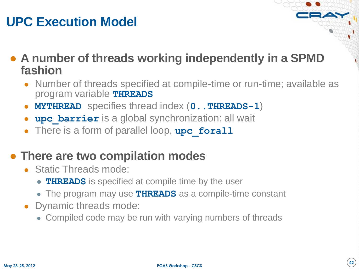# **UPC Execution Model**

● **A number of threads working independently in a SPMD fashion**

- Number of threads specified at compile-time or run-time; available as program variable **THREADS**
- **MYTHREAD** specifies thread index (**0..THREADS-1**)
- **upc** barrier is a global synchronization: all wait
- There is a form of parallel loop, upc forall

### ● **There are two compilation modes**

- Static Threads mode:
	- **THREADS** is specified at compile time by the user
	- The program may use **THREADS** as a compile-time constant
- Dynamic threads mode:
	- Compiled code may be run with varying numbers of threads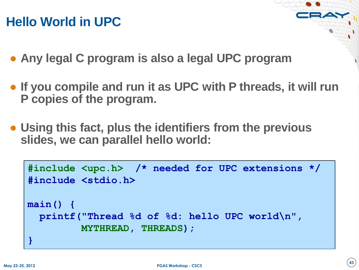# **Hello World in UPC**

- **Any legal C program is also a legal UPC program**
- **If you compile and run it as UPC with P threads, it will run P copies of the program.**
- **Using this fact, plus the identifiers from the previous slides, we can parallel hello world:**

```
#include <upc.h> /* needed for UPC extensions */
#include <stdio.h>
main() {
   printf("Thread %d of %d: hello UPC world\n", 
          MYTHREAD, THREADS);
}
```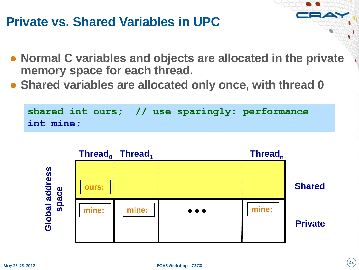# **Private vs. Shared Variables in UPC**

- **Normal C variables and objects are allocated in the private memory space for each thread.**
- **Shared variables are allocated only once, with thread 0**



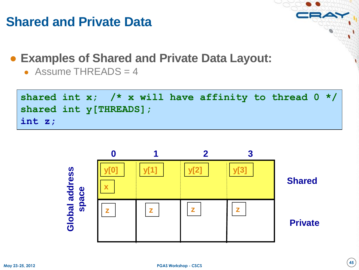# **Shared and Private Data**

● **Examples of Shared and Private Data Layout:**

• Assume THREADS  $=$  4

```
shared int x; /* x will have affinity to thread 0 */
shared int y[THREADS];
int z;
```
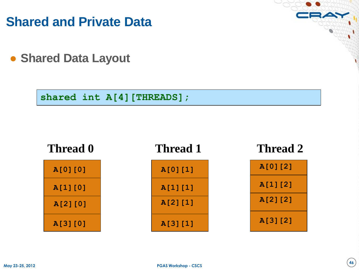**Shared and Private Data**

● **Shared Data Layout**

**shared int A[4][THREADS];**

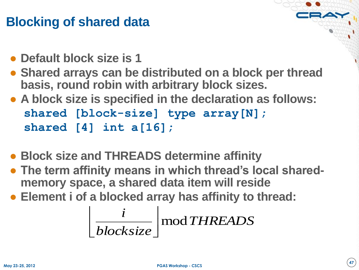# **Blocking of shared data**

- **Default block size is 1**
- **Shared arrays can be distributed on a block per thread basis, round robin with arbitrary block sizes.**
- **A block size is specified in the declaration as follows: shared [block-size] type array[N]; shared [4] int a[16];**
- **Block size and THREADS determine affinity**
- **The term affinity means in which thread's local sharedmemory space, a shared data item will reside**
- **Element i of a blocked array has affinity to thread:**

$$
\left\lfloor \frac{i}{blocksize} \right\rfloor \bmod{THREADS}
$$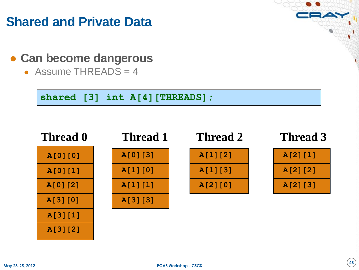# **Shared and Private Data**

- **Can become dangerous**
	- Assume THREADS  $=$  4

**shared [3] int A[4][THREADS];** 

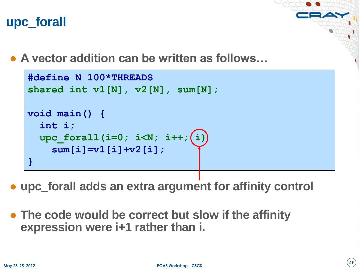# **upc\_forall**

● **A vector addition can be written as follows…**

```
#define N 100*THREADS
shared int v1[N], v2[N], sum[N];
void main() {
   int i;
  upc forall(i=0; i<N; i++; (i)
     sum[i]=v1[i]+v2[i];
}
```
- **upc\_forall adds an extra argument for affinity control**
- **The code would be correct but slow if the affinity expression were i+1 rather than i.**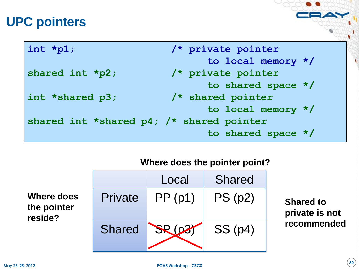# **UPC pointers**

| int *p1;                                 | /* private pointer   |
|------------------------------------------|----------------------|
|                                          | to local memory */   |
| shared int *p2;                          | /* private pointer   |
|                                          | to shared space */   |
| int *shared p3;                          | /* shared pointer    |
|                                          | to local memory $*/$ |
| shared int *shared p4; /* shared pointer |                      |
|                                          | to shared space */   |

#### **Where does the pointer point?**

| <b>Where does</b> |  |  |  |  |
|-------------------|--|--|--|--|
| the pointer       |  |  |  |  |
| reside?           |  |  |  |  |

|    |               | Local   | <b>Shared</b> |
|----|---------------|---------|---------------|
| :S | Private       | PP(p1)  | PS(p2)        |
|    | <b>Shared</b> | SR (D3) | SS(p4)        |

**Shared to private is not recommended**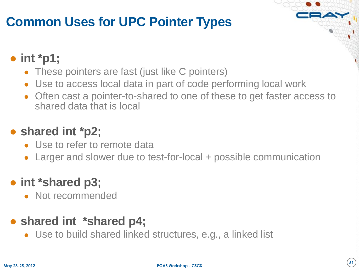# **Common Uses for UPC Pointer Types**

### ● **int \*p1;**

- These pointers are fast (just like C pointers)
- Use to access local data in part of code performing local work
- Often cast a pointer-to-shared to one of these to get faster access to shared data that is local

### ● **shared int \*p2;**

- Use to refer to remote data
- Larger and slower due to test-for-local + possible communication

### ● **int \*shared p3;**

• Not recommended

#### • shared int \*shared p4;

• Use to build shared linked structures, e.g., a linked list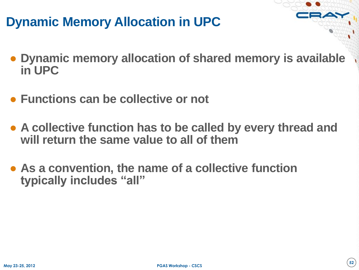# **Dynamic Memory Allocation in UPC**

- **Dynamic memory allocation of shared memory is available in UPC**
- **Functions can be collective or not**
- **A collective function has to be called by every thread and will return the same value to all of them**
- **As a convention, the name of a collective function typically includes "all"**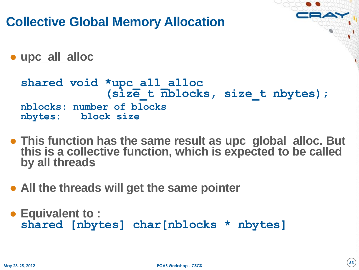**Collective Global Memory Allocation**  ● **upc\_all\_alloc shared void \*upc\_all\_alloc (size\_t nblocks, size\_t nbytes); nblocks: number of blocks nbytes: block size** ● **This function has the same result as upc\_global\_alloc. But this is a collective function, which is expected to be called by all threads**

- **All the threads will get the same pointer**
- **Equivalent to : shared [nbytes] char[nblocks \* nbytes]**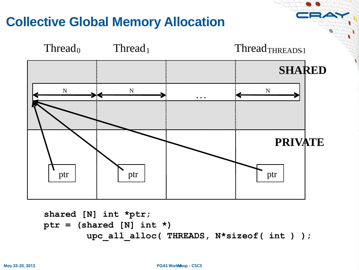# **Collective Global Memory Allocation**



```
shared [N] int *ptr;
ptr = (shared [N] int *) 
         upc_all_alloc( THREADS, N*sizeof( int ) );
```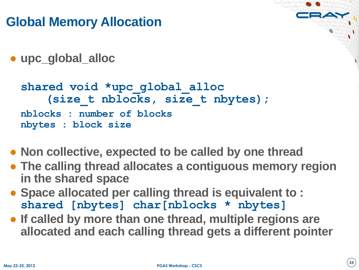# **Global Memory Allocation**

● **upc\_global\_alloc**

```
shared void *upc_global_alloc 
    (size_t nblocks, size_t nbytes);
nblocks : number of blocks
nbytes : block size
```
- **Non collective, expected to be called by one thread**
- **The calling thread allocates a contiguous memory region in the shared space**
- **Space allocated per calling thread is equivalent to : shared [nbytes] char[nblocks \* nbytes]**
- **If called by more than one thread, multiple regions are allocated and each calling thread gets a different pointer**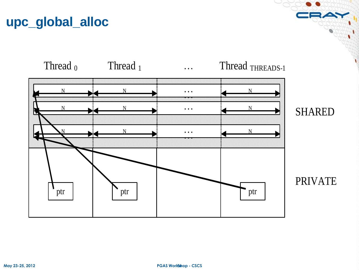# **upc\_global\_alloc**

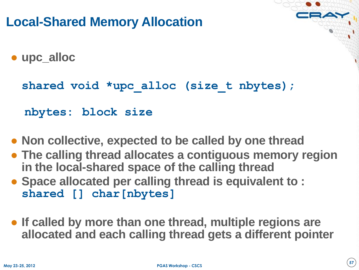# **Local-Shared Memory Allocation**

● **upc\_alloc**

**shared void \*upc\_alloc (size\_t nbytes);**

 **nbytes: block size**

- **Non collective, expected to be called by one thread**
- **The calling thread allocates a contiguous memory region in the local-shared space of the calling thread**
- **Space allocated per calling thread is equivalent to : shared [] char[nbytes]**
- **If called by more than one thread, multiple regions are allocated and each calling thread gets a different pointer**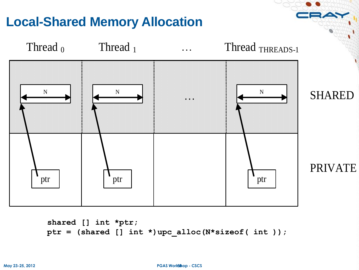

```
shared [] int *ptr;
ptr = (shared [] int *)upc_alloc(N*sizeof( int ));
```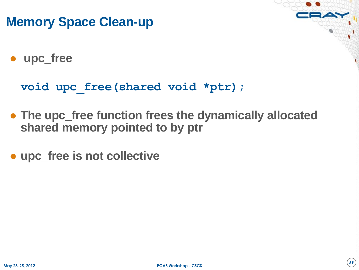### **Memory Space Clean-up**

● **upc\_free**

**void upc\_free(shared void \*ptr);**

- **The upc\_free function frees the dynamically allocated shared memory pointed to by ptr**
- **upc\_free is not collective**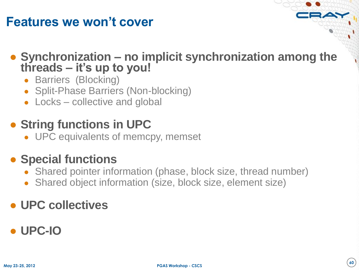### **Features we won't cover**

● **Synchronization – no implicit synchronization among the threads – it's up to you!**

- Barriers (Blocking)
- Split-Phase Barriers (Non-blocking)
- Locks collective and global

# ● String functions in UPC

• UPC equivalents of memcpy, memset

### ● **Special functions**

- Shared pointer information (phase, block size, thread number)
- Shared object information (size, block size, element size)

### ● **UPC collectives**

### ● **UPC-IO**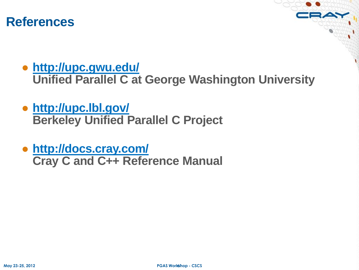#### **References**

● **<http://upc.gwu.edu/>**

**Unified Parallel C at George Washington University**

- **<http://upc.lbl.gov/> Berkeley Unified Parallel C Project**
- **<http://docs.cray.com/> Cray C and C++ Reference Manual**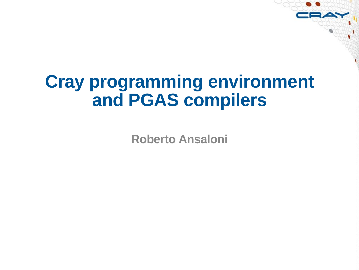# **Cray programming environment and PGAS compilers**

**Roberto Ansaloni**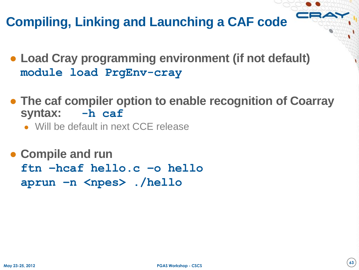# **Compiling, Linking and Launching a CAF code**

- **Load Cray programming environment (if not default) module load PrgEnv-cray**
- **The caf compiler option to enable recognition of Coarray syntax: -h caf**
	- Will be default in next CCE release
- **Compile and run ftn –hcaf hello.c –o hello aprun –n <npes> ./hello**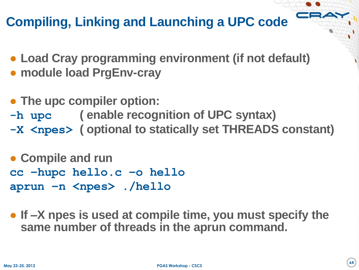# **Compiling, Linking and Launching a UPC code**

- **Load Cray programming environment (if not default)**
- **module load PrgEnv-cray**
- **The upc compiler option: -h upc ( enable recognition of UPC syntax) -X <npes> ( optional to statically set THREADS constant)**

● **Compile and run cc –hupc hello.c –o hello aprun –n <npes> ./hello**

● **If –X npes is used at compile time, you must specify the same number of threads in the aprun command.**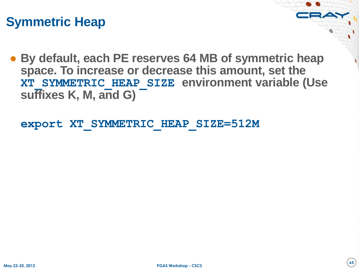# **Symmetric Heap**

● **By default, each PE reserves 64 MB of symmetric heap space. To increase or decrease this amount, set the XT\_SYMMETRIC\_HEAP\_SIZE environment variable (Use suffixes K, M, and G)**

**export XT\_SYMMETRIC\_HEAP\_SIZE=512M**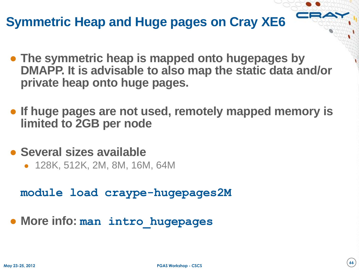# **Symmetric Heap and Huge pages on Cray XE6**

- **The symmetric heap is mapped onto hugepages by DMAPP. It is advisable to also map the static data and/or private heap onto huge pages.**
- **If huge pages are not used, remotely mapped memory is limited to 2GB per node**
- **Several sizes available**
	- 128K, 512K, 2M, 8M, 16M, 64M

**module load craype-hugepages2M**

● **More info: man intro\_hugepages**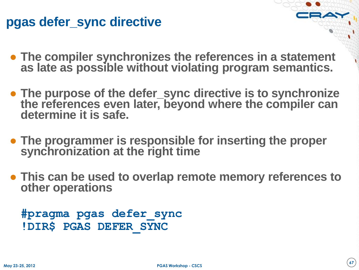### **pgas defer\_sync directive**

- **The compiler synchronizes the references in a statement as late as possible without violating program semantics.**
- **The purpose of the defer\_sync directive is to synchronize the references even later, beyond where the compiler can determine it is safe.**
- **The programmer is responsible for inserting the proper synchronization at the right time**
- **This can be used to overlap remote memory references to other operations**

```
#pragma pgas defer_sync
!DIR$ PGAS DEFER_SYNC
```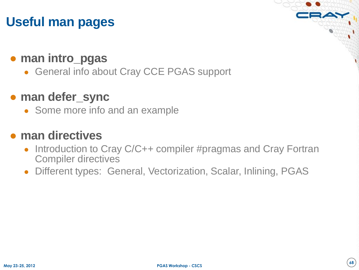# **Useful man pages**

#### ● **man intro\_pgas**

• General info about Cray CCE PGAS support

#### ● **man defer\_sync**

• Some more info and an example

#### ● **man directives**

- Introduction to Cray C/C++ compiler #pragmas and Cray Fortran Compiler directives
- Different types: General, Vectorization, Scalar, Inlining, PGAS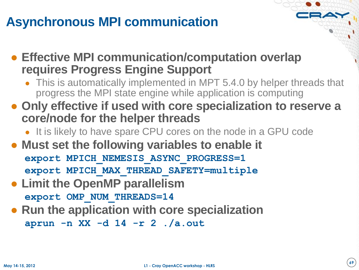# **Asynchronous MPI communication**

● **Effective MPI communication/computation overlap requires Progress Engine Support** 

- This is automatically implemented in MPT 5.4.0 by helper threads that progress the MPI state engine while application is computing
- **Only effective if used with core specialization to reserve a core/node for the helper threads**
	- It is likely to have spare CPU cores on the node in a GPU code
- **Must set the following variables to enable it export MPICH\_NEMESIS\_ASYNC\_PROGRESS=1 export MPICH\_MAX\_THREAD\_SAFETY=multiple**
- **Limit the OpenMP parallelism export OMP\_NUM\_THREADS=14**
- **Run the application with core specialization aprun -n XX -d 14 -r 2 ./a.out**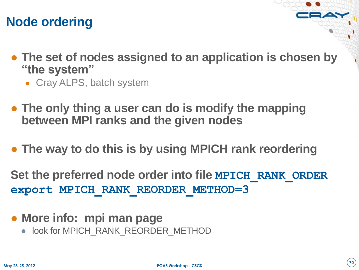### **Node ordering**

- **The set of nodes assigned to an application is chosen by "the system"**
	- Cray ALPS, batch system
- **The only thing a user can do is modify the mapping between MPI ranks and the given nodes**
- **The way to do this is by using MPICH rank reordering**

**Set the preferred node order into file MPICH\_RANK\_ORDER export MPICH\_RANK\_REORDER\_METHOD=3**

- **More info: mpi man page**
	- look for MPICH\_RANK\_REORDER\_METHOD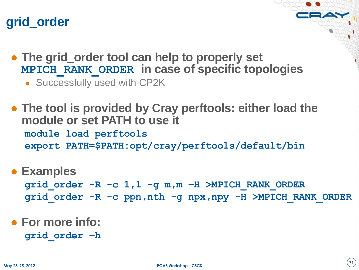# **grid\_order**

- **The grid\_order tool can help to properly set MPICH\_RANK\_ORDER in case of specific topologies**
	- Successfully used with CP2K
- **The tool is provided by Cray perftools: either load the module or set PATH to use it module load perftools export PATH=\$PATH:opt/cray/perftools/default/bin**

● **Examples**

**grid\_order -R -c 1,1 -g m,m –H >MPICH\_RANK\_ORDER grid\_order -R -c ppn,nth -g npx,npy -H >MPICH\_RANK\_ORDER**

#### ● **For more info: grid\_order –h**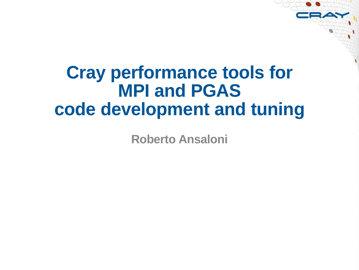# **Cray performance tools for MPI and PGAS code development and tuning**

**Roberto Ansaloni**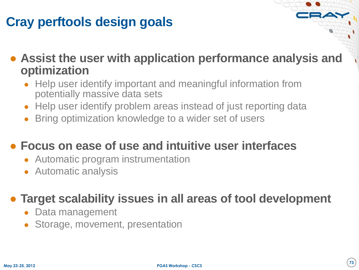### **Cray perftools design goals**

● **Assist the user with application performance analysis and optimization**

- Help user identify important and meaningful information from potentially massive data sets
- Help user identify problem areas instead of just reporting data
- Bring optimization knowledge to a wider set of users

#### ● **Focus on ease of use and intuitive user interfaces**

- Automatic program instrumentation
- Automatic analysis

#### ● **Target scalability issues in all areas of tool development**

- Data management
- Storage, movement, presentation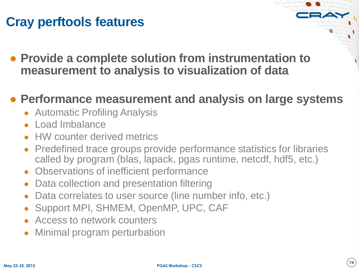### **Cray perftools features**

● **Provide a complete solution from instrumentation to measurement to analysis to visualization of data**

#### ● **Performance measurement and analysis on large systems**

- Automatic Profiling Analysis
- Load Imbalance
- HW counter derived metrics
- **Predefined trace groups provide performance statistics for libraries** called by program (blas, lapack, pgas runtime, netcdf, hdf5, etc.)
- Observations of inefficient performance
- Data collection and presentation filtering
- Data correlates to user source (line number info, etc.)
- Support MPI, SHMEM, OpenMP, UPC, CAF
- Access to network counters
- **Minimal program perturbation**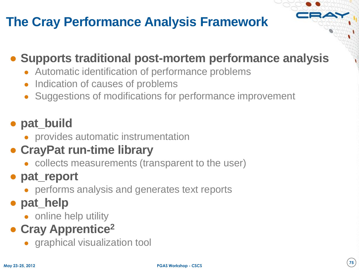## **The Cray Performance Analysis Framework**

#### ● **Supports traditional post-mortem performance analysis**

- Automatic identification of performance problems
- Indication of causes of problems
- Suggestions of modifications for performance improvement

### ● **pat\_build**

• provides automatic instrumentation

### ● **CrayPat run-time library**

• collects measurements (transparent to the user)

### ● **pat\_report**

• performs analysis and generates text reports

### ● **pat\_help**

• online help utility

## ● **Cray Apprentice<sup>2</sup>**

• graphical visualization tool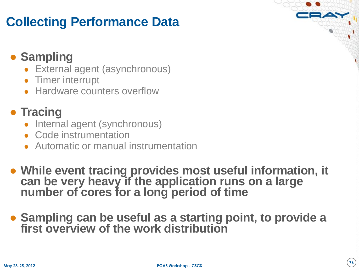### **Collecting Performance Data**

### ● **Sampling**

- External agent (asynchronous)
- Timer interrupt
- Hardware counters overflow

#### ● **Tracing**

- Internal agent (synchronous)
- Code instrumentation
- Automatic or manual instrumentation
- **While event tracing provides most useful information, it can be very heavy if the application runs on a large number of cores for a long period of time**
- **Sampling can be useful as a starting point, to provide a first overview of the work distribution**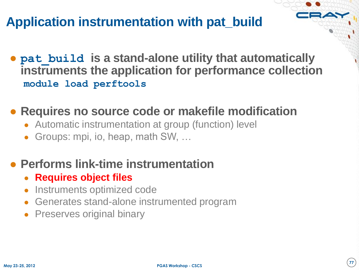### **Application instrumentation with pat\_build**

● **pat\_build is a stand-alone utility that automatically instruments the application for performance collection module load perftools**

#### ● **Requires no source code or makefile modification**

- Automatic instrumentation at group (function) level
- Groups: mpi, io, heap, math SW, ...

#### ● **Performs link-time instrumentation**

- **Requires object files**
- Instruments optimized code
- Generates stand-alone instrumented program
- Preserves original binary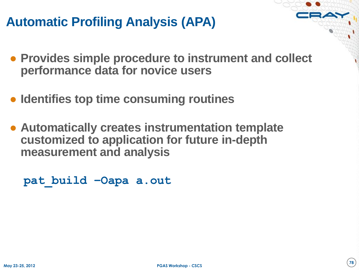### **Automatic Profiling Analysis (APA)**

- **Provides simple procedure to instrument and collect performance data for novice users**
- **Identifies top time consuming routines**
- **Automatically creates instrumentation template customized to application for future in-depth measurement and analysis**

```
pat_build –Oapa a.out
```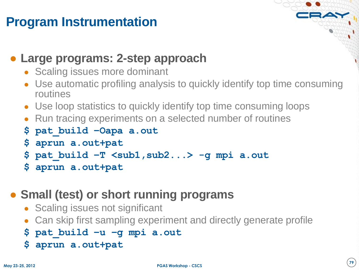### **Program Instrumentation**

#### ● **Large programs: 2-step approach**

- Scaling issues more dominant
- Use automatic profiling analysis to quickly identify top time consuming routines
- Use loop statistics to quickly identify top time consuming loops
- Run tracing experiments on a selected number of routines
- **\$ pat\_build –Oapa a.out**
- **\$ aprun a.out+pat**
- **\$ pat\_build –T <sub1,sub2...> -g mpi a.out**
- **\$ aprun a.out+pat**

#### ● **Small (test) or short running programs**

- Scaling issues not significant
- Can skip first sampling experiment and directly generate profile
- **\$ pat\_build –u –g mpi a.out**
- **\$ aprun a.out+pat**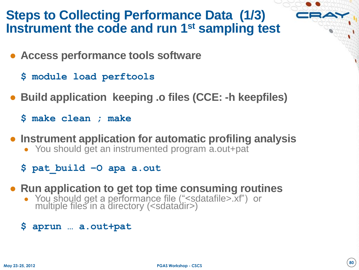#### **Steps to Collecting Performance Data (1/3) Instrument the code and run 1st sampling test**

- **Access performance tools software**
	- **\$ module load perftools**
- **Build application keeping .o files (CCE: -h keepfiles)**
	- **\$ make clean ; make**
- **Instrument application for automatic profiling analysis**
	- You should get an instrumented program a.out+pat
	- **\$ pat\_build –O apa a.out**
- **Run application to get top time consuming routines**
	- You should get a performance file ("<sdatafile>.xf") or multiple files in a directory (<sdatadir>)
	- **\$ aprun … a.out+pat**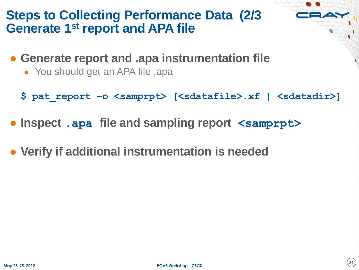### **Steps to Collecting Performance Data (2/3 Generate 1st report and APA file**

- **Generate report and .apa instrumentation file**
	- You should get an APA file .apa
	- **\$ pat\_report –o <samprpt> [<sdatafile>.xf | <sdatadir>]**
- **Inspect .apa file and sampling report <samprpt>**
- **Verify if additional instrumentation is needed**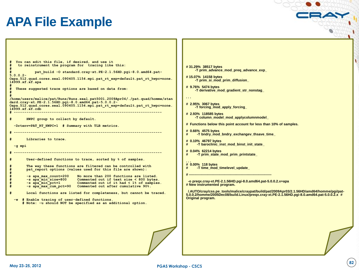#### **APA File Example**

**# 31.29% 38517 bytes # 15.07% 14158 bytes # 9.76% 5474 bytes . . . # 2.95% 3067 bytes # 2.93% 118585 bytes # 0.66% 4575 bytes # 0.10% 46797 bytes # 0.04% 62214 bytes . . . # 0.00% 118 bytes # ---------------------------------------------------------------------- Original program. # You can edit this file, if desired, and use it # to reinstrument the program for tracing like this: # # pat\_build -O standard.cray-xt.PE-2.1.56HD.pgi-8.0.amd64.pat-5.0.0.2- Oapa.512.quad.cores.seal.090405.1154.mpi.pat\_rt\_exp=default.pat\_rt\_hwpc=none. 14999.xf.xf.apa # # These suggested trace options are based on data from: # # /home/users/malice/pat/Runs/Runs.seal.pat5001.2009Apr04/./pat.quad/homme/stan dard.cray-xt.PE-2.1.56HD.pgi-8.0.amd64.pat-5.0.0.2- Oapa.512.quad.cores.seal.090405.1154.mpi.pat\_rt\_exp=default.pat\_rt\_hwpc=none. 14999.xf.xf.cdb # ---------------------------------------------------------------------- HWPC** group to collect by default.  **-Drtenv=PAT\_RT\_HWPC=1 # Summary with TLB metrics. # ----------------------------------------------------------------------** Libraries to trace.  **-g mpi # ---------------------------------------------------------------------- # User-defined functions to trace, sorted by % of samples. # The way these functions are filtered can be controlled with # pat\_report options (values used for this file are shown): # -s apa\_max\_count=200** No more than 200 functions are listed.<br>-s apa\_min\_size=800 Commented out if text size < 800 bytes **# -s apa\_min\_size=800 Commented out if text size < 800 bytes.** Commented out if it had  $\leq 1\%$  of samples. **# -s apa\_max\_cum\_pct=90 Commented out after cumulative 90%. # Local functions are listed for completeness, but cannot be traced.** # Enable tracing of user-defined functions.  **# Note: -u should NOT be specified as an additional option.**

 **-T prim\_advance\_mod\_preq\_advance\_exp\_**

 **-T prim\_si\_mod\_prim\_diffusion\_**

 **-T derivative\_mod\_gradient\_str\_nonstag\_**

 **-T forcing\_mod\_apply\_forcing\_**

 **-T column\_model\_mod\_applycolumnmodel\_**

**# Functions below this point account for less than 10% of samples.**

**# -T bndry\_mod\_bndry\_exchangev\_thsave\_time\_**

**# -T baroclinic\_inst\_mod\_binst\_init\_state\_**

**# -T prim\_state\_mod\_prim\_printstate\_**

**# -T time\_mod\_timelevel\_update\_**

 **-o preqx.cray-xt.PE-2.1.56HD.pgi-8.0.amd64.pat-5.0.0.2.x+apa # New instrumented program.**

 **/.AUTO/cray/css.pe\_tools/malice/craypat/build/pat/2009Apr03/2.1.56HD/amd64/homme/pgi/pat-5.0.0.2/homme/2005Dec08/build.Linux/preqx.cray-xt.PE-2.1.56HD.pgi-8.0.amd64.pat-5.0.0.2.x #**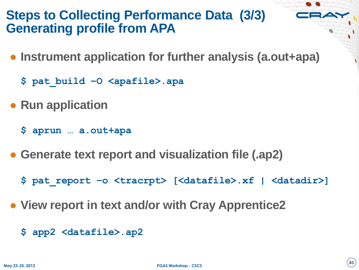### **Steps to Collecting Performance Data (3/3) Generating profile from APA**

- **Instrument application for further analysis (a.out+apa)**
	- **\$ pat\_build –O <apafile>.apa**
- **Run application** 
	- **\$ aprun … a.out+apa**
- **Generate text report and visualization file (.ap2)**
	- **\$ pat\_report –o <tracrpt> [<datafile>.xf | <datadir>]**
- **View report in text and/or with Cray Apprentice2**
	- **\$ app2 <datafile>.ap2**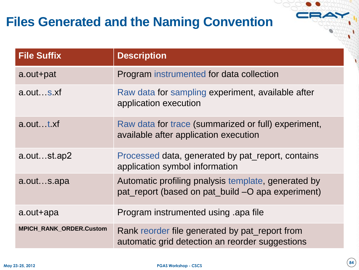### **Files Generated and the Naming Convention**

| <b>File Suffix</b>             | <b>Description</b>                                                                                       |  |
|--------------------------------|----------------------------------------------------------------------------------------------------------|--|
| a.out+pat                      | Program instrumented for data collection                                                                 |  |
| a.outs.xf                      | Raw data for sampling experiment, available after<br>application execution                               |  |
| a.outt.xf                      | Raw data for trace (summarized or full) experiment,<br>available after application execution             |  |
| a.outst.ap2                    | Processed data, generated by pat report, contains<br>application symbol information                      |  |
| a.outs.apa                     | Automatic profiling pnalysis template, generated by<br>pat_report (based on pat_build -O apa experiment) |  |
| a.out+apa                      | Program instrumented using apa file                                                                      |  |
| <b>MPICH_RANK_ORDER.Custom</b> | Rank reorder file generated by pat_report from<br>automatic grid detection an reorder suggestions        |  |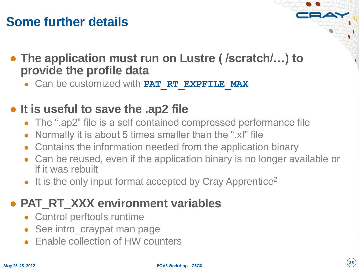### **Some further details**



● Can be customized with **PAT\_RT\_EXPFILE\_MAX**

#### ● **It is useful to save the .ap2 file**

- The ".ap2" file is a self contained compressed performance file
- Normally it is about 5 times smaller than the ".xf" file
- Contains the information needed from the application binary
- Can be reused, even if the application binary is no longer available or if it was rebuilt
- It is the only input format accepted by Cray Apprentice<sup>2</sup>

#### **• PAT RT XXX environment variables**

- Control perftools runtime
- See intro\_craypat man page
- **Enable collection of HW counters**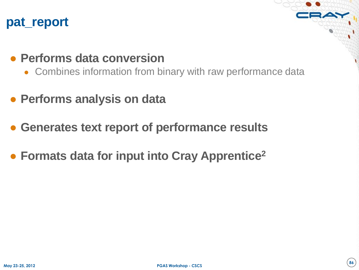#### **pat\_report**

#### ● **Performs data conversion**

- Combines information from binary with raw performance data
- **Performs analysis on data**
- **Generates text report of performance results**
- **Formats data for input into Cray Apprentice<sup>2</sup>**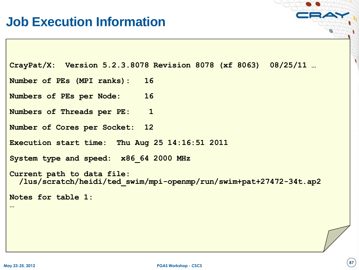```
CrayPat/X: Version 5.2.3.8078 Revision 8078 (xf 8063) 08/25/11 …
Number of PEs (MPI ranks): 16
Numbers of PEs per Node: 16
Numbers of Threads per PE: 1
Number of Cores per Socket: 12
Execution start time: Thu Aug 25 14:16:51 2011
System type and speed: x86_64 2000 MHz
Current path to data file:
   /lus/scratch/heidi/ted_swim/mpi-openmp/run/swim+pat+27472-34t.ap2
Notes for table 1:
…
```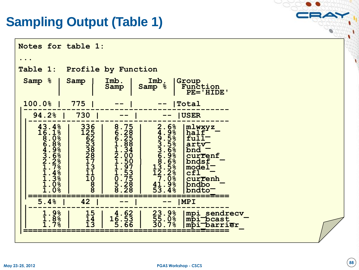### **Sampling Output (Table 1)**

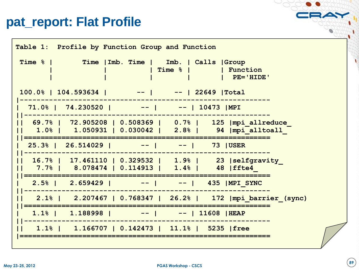#### pat\_report: Flat Profile

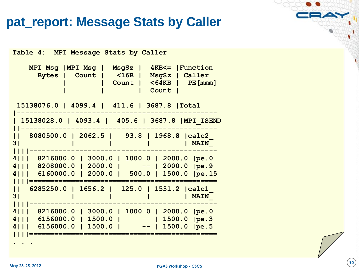#### **pat\_report: Message Stats by Caller**

**Table 4: MPI Message Stats by Caller MPI Msg |MPI Msg | MsgSz | 4KB<= |Function Bytes | Count | <16B | MsgSz | Caller | | Count | <64KB | PE[mmm] | | | Count | 15138076.0 | 4099.4 | 411.6 | 3687.8 |Total |------------------------------------------------ | 15138028.0 | 4093.4 | 405.6 | 3687.8 |MPI\_ISEND ||----------------------------------------------- || 8080500.0 | 2062.5 | 93.8 | 1968.8 |calc2\_ 3| | | | | MAIN\_ ||||--------------------------------------------- 4||| 8216000.0 | 3000.0 | 1000.0 | 2000.0 |pe.0 4||| 8208000.0 | 2000.0 | -- | 2000.0 |pe.9 4||| 6160000.0 | 2000.0 | 500.0 | 1500.0 |pe.15 ||||============================================= || 6285250.0 | 1656.2 | 125.0 | 1531.2 |calc1\_ 3| | | | | MAIN\_ ||||--------------------------------------------- 4||| 8216000.0 | 3000.0 | 1000.0 | 2000.0 |pe.0 4||| 6156000.0 | 1500.0 | -- | 1500.0 |pe.3 4||| 6156000.0 | 1500.0 | -- | 1500.0 |pe.5 ||||============================================= . . .**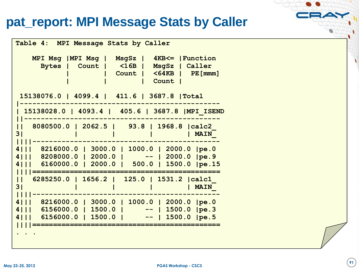#### pat\_report: MPI Message Stats by Caller

**Table 4: MPI Message Stats by Caller MPI Msg |MPI Msg | MsgSz | 4KB<= |Function Bytes | Count | <16B | MsgSz | Caller | | Count | <64KB | PE[mmm] | | | Count | 15138076.0 | 4099.4 | 411.6 | 3687.8 |Total |------------------------------------------------ | 15138028.0 | 4093.4 | 405.6 | 3687.8 |MPI\_ISEND ||----------------------------------------------- || 8080500.0 | 2062.5 | 93.8 | 1968.8 |calc2\_ 3** | | | | | | | **MAIN ||||--------------------------------------------- 4||| 8216000.0 | 3000.0 | 1000.0 | 2000.0 |pe.0 4||| 8208000.0 | 2000.0 | -- | 2000.0 |pe.9 4||| 6160000.0 | 2000.0 | 500.0 | 1500.0 |pe.15 ||||============================================= || 6285250.0 | 1656.2 | 125.0 | 1531.2 |calc1\_ 3| | | | | MAIN\_ ||||--------------------------------------------- 4||| 8216000.0 | 3000.0 | 1000.0 | 2000.0 |pe.0 4||| 6156000.0 | 1500.0 | -- | 1500.0 |pe.3 4||| 6156000.0 | 1500.0 | -- | 1500.0 |pe.5 ||||============================================= . . .**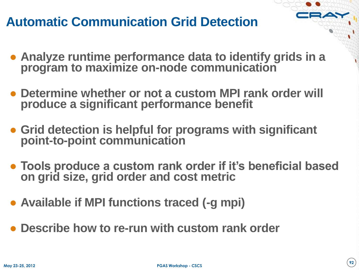### **Automatic Communication Grid Detection**

- **Analyze runtime performance data to identify grids in a program to maximize on-node communication**
- **Determine whether or not a custom MPI rank order will produce a significant performance benefit**
- **Grid detection is helpful for programs with significant point-to-point communication**
- **Tools produce a custom rank order if it's beneficial based on grid size, grid order and cost metric**
- **Available if MPI functions traced (-g mpi)**
- **Describe how to re-run with custom rank order**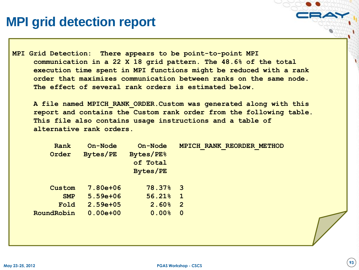### **MPI grid detection report**

**MPI Grid Detection: There appears to be point-to-point MPI communication in a 22 X 18 grid pattern. The 48.6% of the total execution time spent in MPI functions might be reduced with a rank order that maximizes communication between ranks on the same node. The effect of several rank orders is estimated below.**

 **A file named MPICH\_RANK\_ORDER.Custom was generated along with this report and contains the Custom rank order from the following table. This file also contains usage instructions and a table of alternative rank orders.**

| Rank<br>Order | On-Node<br>Bytes/PE | On-Node<br><b>Bytes/PE%</b><br>of Total<br>Bytes/PE | MPICH RANK REORDER METHOD |
|---------------|---------------------|-----------------------------------------------------|---------------------------|
| Custom        | 7.80e+06            | $78.37%$ 3                                          |                           |
| <b>SMP</b>    | $5.59e + 06$        | 56.21%                                              | $\mathbf 1$               |
| Fold          | $2.59e + 05$        | 2.60%                                               | $\overline{2}$            |
| RoundRobin    | $0.00e + 00$        | $0.00$ <sup>8</sup>                                 | $\overline{0}$            |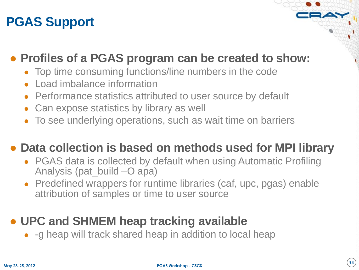### **PGAS Support**

#### ● **Profiles of a PGAS program can be created to show:**

- Top time consuming functions/line numbers in the code
- Load imbalance information
- Performance statistics attributed to user source by default
- Can expose statistics by library as well
- To see underlying operations, such as wait time on barriers

#### ● **Data collection is based on methods used for MPI library**

- PGAS data is collected by default when using Automatic Profiling Analysis (pat\_build –O apa)
- Predefined wrappers for runtime libraries (caf, upc, pgas) enable attribution of samples or time to user source

#### ● **UPC and SHMEM heap tracking available**

• -g heap will track shared heap in addition to local heap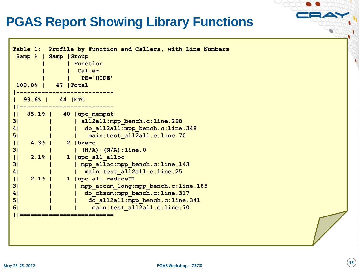### **PGAS Report Showing Library Functions**

| Table 1: Profile by Function and Callers, with Line Numbers<br>Samp %   Samp   Group<br>  Function<br>Caller |
|--------------------------------------------------------------------------------------------------------------|
| PE='HIDE'                                                                                                    |
| $100.0%$  <br>47   Total                                                                                     |
|                                                                                                              |
| 93.6%   44   ETC                                                                                             |
|                                                                                                              |
| $85.1%$  <br>40   upc memput<br>$\mathsf{L}$                                                                 |
| 3 <sub>1</sub><br>all2all:mpp bench.c:line.298                                                               |
| 4 <sub>1</sub><br>do all2all: mpp bench.c: line.348                                                          |
| 5 <sub>1</sub><br>main: test all2all.c: line.70                                                              |
| $\overline{11}$<br>$4.3%$  <br>2   bzero                                                                     |
| $(N/A):(N/A):$ line.0<br>3 <sub>1</sub>                                                                      |
| upc all alloc<br>$\overline{11}$<br>$2.1%$  <br>$\mathbf{1}$                                                 |
| 3 <br>  mpp alloc: mpp bench.c: line.143                                                                     |
| 4 <br>main: test all2all.c: line.25                                                                          |
| $\overline{11}$<br>$2.1%$  <br>upc all reduceUL<br>$\mathbf{1}$                                              |
| 3 <sub>1</sub><br>mpp accum long: mpp bench.c: line.185                                                      |
| do cksum: mpp bench.c: line.317<br>41                                                                        |
| 51<br>do all2all: mpp bench.c: line.341                                                                      |
| main: test all2all.c: line.70<br>6 <sub>1</sub>                                                              |
|                                                                                                              |
|                                                                                                              |
|                                                                                                              |
|                                                                                                              |
|                                                                                                              |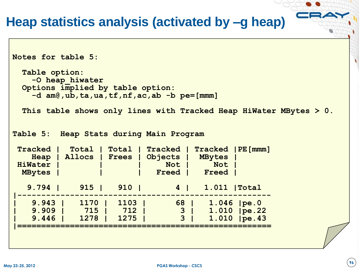#### **Heap statistics analysis (activated by –g heap)**

```
Notes for table 5:
  Table option:
    -O heap_hiwater
  Options implied by table option:
    -d am@,ub,ta,ua,tf,nf,ac,ab -b pe=[mmm]
  This table shows only lines with Tracked Heap HiWater MBytes > 0.
Table 5: Heap Stats during Main Program
Tracked | Total | Total | Tracked | Tracked |PE[mmm]
    Heap | Allocs | Frees | Objects | MBytes |
HiWater | | | Not | Not |
  MBytes | | | Freed | Freed |
   9.794 | 915 | 910 | 4 | 1.011 |Total
|-----------------------------------------------------
   | 9.943 | 1170 | 1103 | 68 | 1.046 |pe.0
   | 9.909 | 715 | 712 | 3 | 1.010 |pe.22
   | 9.446 | 1278 | 1275 | 3 | 1.010 |pe.43
|=====================================================
```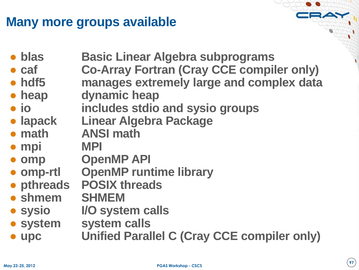### **Many more groups available**

● **blas Basic Linear Algebra subprograms**

- **caf Co-Array Fortran (Cray CCE compiler only)**
- **hdf5 manages extremely large and complex data**
- **heap dynamic heap**
- **io includes stdio and sysio groups**
- **lapack Linear Algebra Package**
- **math ANSI math**
- **mpi MPI**
- **omp OpenMP API**
- **omp-rtl OpenMP runtime library**
- **pthreads POSIX threads**
- **shmem SHMEM**
- 
- **sysio I/O system calls**
- **system system calls**
- **upc Unified Parallel C (Cray CCE compiler only)**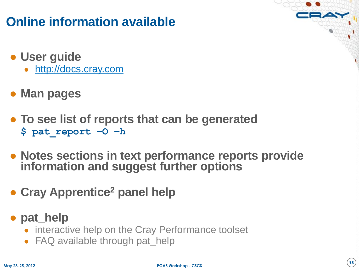### **Online information available**

- **User guide**
	- [http://docs.cray.com](http://docs.cray.com/)
- **Man pages**
- **To see list of reports that can be generated \$ pat\_report –O –h**
- **Notes sections in text performance reports provide information and suggest further options**
- **Cray Apprentice<sup>2</sup> panel help**
- **pat\_help**
	- interactive help on the Cray Performance toolset
	- FAQ available through pat\_help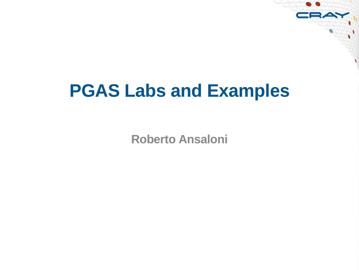# **PGAS Labs and Examples**

**Roberto Ansaloni**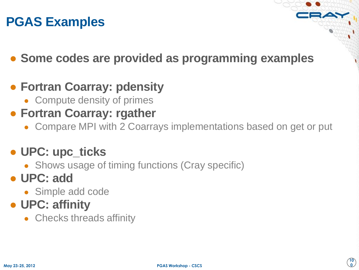### **PGAS Examples**

- **Some codes are provided as programming examples**
- **Fortran Coarray: pdensity**
	- Compute density of primes
- **Fortran Coarray: rgather**
	- Compare MPI with 2 Coarrays implementations based on get or put

#### ● **UPC: upc\_ticks**

• Shows usage of timing functions (Cray specific)

#### ● **UPC: add**

• Simple add code

### ● **UPC: affinity**

• Checks threads affinity